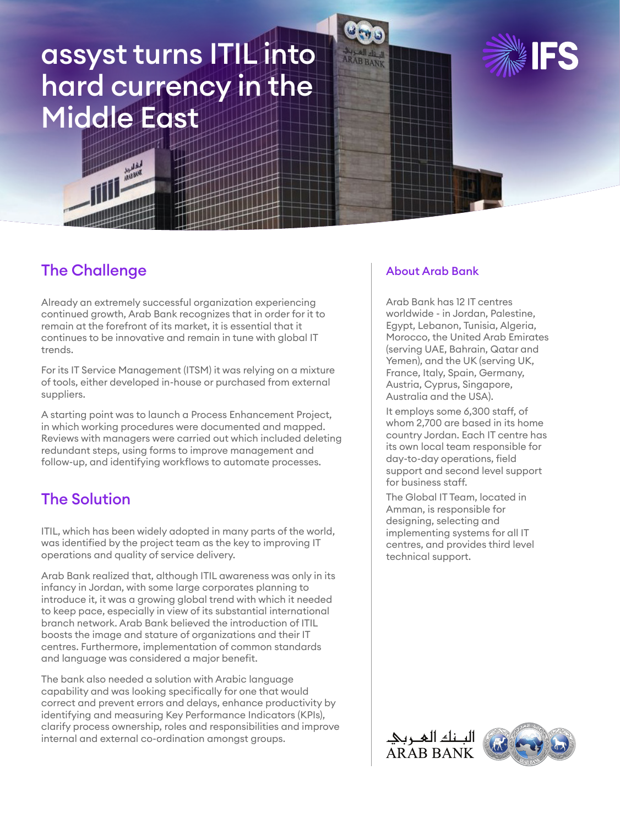# assyst turns ITIL into hard currency in the Middle East





## The Challenge

Already an extremely successful organization experiencing continued growth, Arab Bank recognizes that in order for it to remain at the forefront of its market, it is essential that it continues to be innovative and remain in tune with global IT trends.

For its IT Service Management (ITSM) it was relying on a mixture of tools, either developed in-house or purchased from external suppliers.

A starting point was to launch a Process Enhancement Project, in which working procedures were documented and mapped. Reviews with managers were carried out which included deleting redundant steps, using forms to improve management and follow-up, and identifying workflows to automate processes.

## The Solution

ITIL, which has been widely adopted in many parts of the world, was identified by the project team as the key to improving IT operations and quality of service delivery.

Arab Bank realized that, although ITIL awareness was only in its infancy in Jordan, with some large corporates planning to introduce it, it was a growing global trend with which it needed to keep pace, especially in view of its substantial international branch network. Arab Bank believed the introduction of ITIL boosts the image and stature of organizations and their IT centres. Furthermore, implementation of common standards and language was considered a major benefit.

The bank also needed a solution with Arabic language capability and was looking specifically for one that would correct and prevent errors and delays, enhance productivity by identifying and measuring Key Performance Indicators (KPIs), clarify process ownership, roles and responsibilities and improve internal and external co-ordination amongst groups.

#### About Arab Bank

Arab Bank has 12 IT centres worldwide - in Jordan, Palestine, Egypt, Lebanon, Tunisia, Algeria, Morocco, the United Arab Emirates (serving UAE, Bahrain, Qatar and Yemen), and the UK (serving UK, France, Italy, Spain, Germany, Austria, Cyprus, Singapore, Australia and the USA).

It employs some 6,300 staff, of whom 2,700 are based in its home country Jordan. Each IT centre has its own local team responsible for day-to-day operations, field support and second level support for business staff.

The Global IT Team, located in Amman, is responsible for designing, selecting and implementing systems for all IT centres, and provides third level technical support.